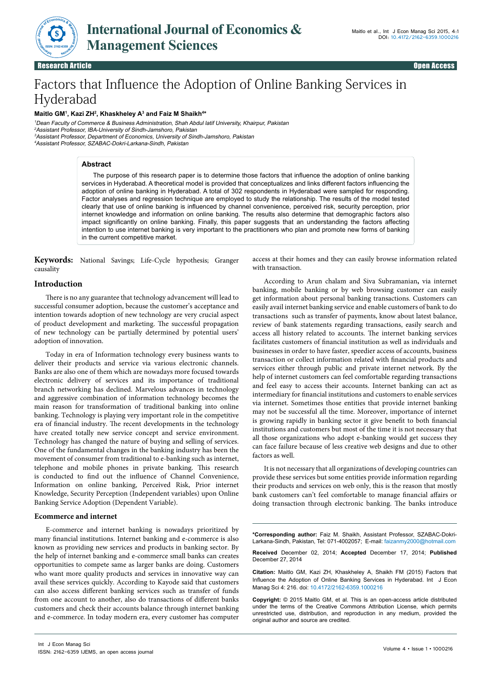

Research Article Open Access Research Article Open Access

# Factors that Influence the Adoption of Online Banking Services in Hyderabad

## **Maitlo GM1 , Kazi ZH2 , Khaskheley A3 and Faiz M Shaikh4 \***

Dean Faculty of Commerce & Business Administration, Shah Abdul latif University, Khairpur, Pakistan Assistant Professor, IBA-University of Sindh-Jamshoro, Pakistan Assistant Professor, Department of Economics, University of Sindh-Jamshoro, Pakistan Assistant Professor, SZABAC-Dokri-Larkana-Sindh, Pakistan

# **Abstract**

The purpose of this research paper is to determine those factors that influence the adoption of online banking services in Hyderabad. A theoretical model is provided that conceptualizes and links different factors influencing the adoption of online banking in Hyderabad. A total of 302 respondents in Hyderabad were sampled for responding. Factor analyses and regression technique are employed to study the relationship. The results of the model tested clearly that use of online banking is influenced by channel convenience, perceived risk, security perception, prior internet knowledge and information on online banking. The results also determine that demographic factors also impact significantly on online banking. Finally, this paper suggests that an understanding the factors affecting intention to use internet banking is very important to the practitioners who plan and promote new forms of banking in the current competitive market.

**Keywords:** National Savings; Life-Cycle hypothesis; Granger causality

# **Introduction**

There is no any guarantee that technology advancement will lead to successful consumer adoption, because the customer's acceptance and intention towards adoption of new technology are very crucial aspect of product development and marketing. The successful propagation of new technology can be partially determined by potential users' adoption of innovation.

Today in era of Information technology every business wants to deliver their products and service via various electronic channels. Banks are also one of them which are nowadays more focused towards electronic delivery of services and its importance of traditional branch networking has declined. Marvelous advances in technology and aggressive combination of information technology becomes the main reason for transformation of traditional banking into online banking. Technology is playing very important role in the competitive era of financial industry. The recent developments in the technology have created totally new service concept and service environment. Technology has changed the nature of buying and selling of services. One of the fundamental changes in the banking industry has been the movement of consumer from traditional to e-banking such as internet, telephone and mobile phones in private banking. This research is conducted to find out the influence of Channel Convenience, Information on online banking, Perceived Risk, Prior internet Knowledge, Security Perception (Independent variables) upon Online Banking Service Adoption (Dependent Variable).

# **Ecommerce and internet**

E-commerce and internet banking is nowadays prioritized by many financial institutions. Internet banking and e-commerce is also known as providing new services and products in banking sector. By the help of internet banking and e-commerce small banks can creates opportunities to compete same as larger banks are doing. Customers who want more quality products and services in innovative way can avail these services quickly. According to Kayode said that customers can also access different banking services such as transfer of funds from one account to another, also do transactions of different banks customers and check their accounts balance through internet banking and e-commerce. In today modern era, every customer has computer

access at their homes and they can easily browse information related with transaction.

According to Arun chalam and Siva Subramanian**,** via internet banking, mobile banking or by web browsing customer can easily get information about personal banking transactions. Customers can easily avail internet banking service and enable customers of bank to do transactions such as transfer of payments, know about latest balance, review of bank statements regarding transactions, easily search and access all history related to accounts. The internet banking services facilitates customers of financial institution as well as individuals and businesses in order to have faster, speedier access of accounts, business transaction or collect information related with financial products and services either through public and private internet network. By the help of internet customers can feel comfortable regarding transactions and feel easy to access their accounts. Internet banking can act as intermediary for financial institutions and customers to enable services via internet. Sometimes those entities that provide internet banking may not be successful all the time. Moreover, importance of internet is growing rapidly in banking sector it give benefit to both financial institutions and customers but most of the time it is not necessary that all those organizations who adopt e-banking would get success they can face failure because of less creative web designs and due to other factors as well.

It is not necessary that all organizations of developing countries can provide these services but some entities provide information regarding their products and services on web only, this is the reason that mostly bank customers can't feel comfortable to manage financial affairs or doing transaction through electronic banking. The banks introduce

**\*Corresponding author:** Faiz M. Shaikh, Assistant Professor, SZABAC-Dokri-Larkana-Sindh, Pakistan, Tel: 071-4002057; E-mail: faizanmy2000@hotmail.com

**Received** December 02, 2014; **Accepted** December 17, 2014; **Published** December 27, 2014

**Citation:** Maitlo GM, Kazi ZH, Khaskheley A, Shaikh FM (2015) Factors that Influence the Adoption of Online Banking Services in Hyderabad. Int J Econ Manag Sci 4: 216. doi: 10.4172/2162-6359.1000216

**Copyright:** © 2015 Maitlo GM, et al. This is an open-access article distributed under the terms of the Creative Commons Attribution License, which permits unrestricted use, distribution, and reproduction in any medium, provided the original author and source are credited.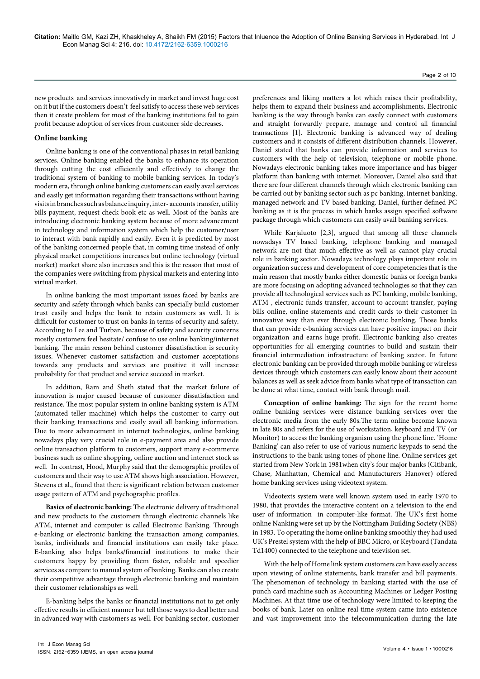new products and services innovatively in market and invest huge cost on it but if the customers doesn't feel satisfy to access these web services then it create problem for most of the banking institutions fail to gain profit because adoption of services from customer side decreases.

# **Online banking**

Online banking is one of the conventional phases in retail banking services. Online banking enabled the banks to enhance its operation through cutting the cost efficiently and effectively to change the traditional system of banking to mobile banking services. In today's modern era, through online banking customers can easily avail services and easily get information regarding their transactions without having visits in branches such as balance inquiry, inter- accounts transfer, utility bills payment, request check book etc as well. Most of the banks are introducing electronic banking system because of more advancement in technology and information system which help the customer/user to interact with bank rapidly and easily. Even it is predicted by most of the banking concerned people that, in coming time instead of only physical market competitions increases but online technology (virtual market) market share also increases and this is the reason that most of the companies were switching from physical markets and entering into virtual market.

In online banking the most important issues faced by banks are security and safety through which banks can specially build customer trust easily and helps the bank to retain customers as well. It is difficult for customer to trust on banks in terms of security and safety. According to Lee and Turban, because of safety and security concerns mostly customers feel hesitate/ confuse to use online banking/internet banking. The main reason behind customer dissatisfaction is security issues. Whenever customer satisfaction and customer acceptations towards any products and services are positive it will increase probability for that product and service succeed in market.

In addition, Ram and Sheth stated that the market failure of innovation is major caused because of customer dissatisfaction and resistance. The most popular system in online banking system is ATM (automated teller machine) which helps the customer to carry out their banking transactions and easily avail all banking information. Due to more advancement in internet technologies, online banking nowadays play very crucial role in e-payment area and also provide online transaction platform to customers, support many e-commerce business such as online shopping, online auction and internet stock as well. In contrast, Hood, Murphy said that the demographic profiles of customers and their way to use ATM shows high association. However, Stevens et al., found that there is significant relation between customer usage pattern of ATM and psychographic profiles.

**Basics of electronic banking:** The electronic delivery of traditional and new products to the customers through electronic channels like ATM, internet and computer is called Electronic Banking. Through e-banking or electronic banking the transaction among companies, banks, individuals and financial institutions can easily take place. E-banking also helps banks/financial institutions to make their customers happy by providing them faster, reliable and speedier services as compare to manual system of banking. Banks can also create their competitive advantage through electronic banking and maintain their customer relationships as well.

E-banking helps the banks or financial institutions not to get only effective results in efficient manner but tell those ways to deal better and in advanced way with customers as well. For banking sector, customer

Int J Econ Manag Sci

ISSN: 2162-6359 IJEMS, an open access journal

preferences and liking matters a lot which raises their profitability, helps them to expand their business and accomplishments. Electronic banking is the way through banks can easily connect with customers and straight forwardly prepare, manage and control all financial transactions [1]. Electronic banking is advanced way of dealing customers and it consists of different distribution channels. However, Daniel stated that banks can provide information and services to customers with the help of television, telephone or mobile phone. Nowadays electronic banking takes more importance and has bigger platform than banking with internet. Moreover, Daniel also said that there are four different channels through which electronic banking can be carried out by banking sector such as pc banking, internet banking, managed network and TV based banking. Daniel, further defined PC banking as it is the process in which banks assign specified software package through which customers can easily avail banking services.

While Karjaluoto [2,3], argued that among all these channels nowadays TV based banking, telephone banking and managed network are not that much effective as well as cannot play crucial role in banking sector. Nowadays technology plays important role in organization success and development of core competencies that is the main reason that mostly banks either domestic banks or foreign banks are more focusing on adopting advanced technologies so that they can provide all technological services such as PC banking, mobile banking, ATM , electronic funds transfer, account to account transfer, paying bills online, online statements and credit cards to their customer in innovative way than ever through electronic banking. Those banks that can provide e-banking services can have positive impact on their organization and earns huge profit. Electronic banking also creates opportunities for all emerging countries to build and sustain their financial intermediation infrastructure of banking sector. In future electronic banking can be provided through mobile banking or wireless devices through which customers can easily know about their account balances as well as seek advice from banks what type of transaction can be done at what time, contact with bank through mail.

**Conception of online banking:** The sign for the recent home online banking services were distance banking services over the electronic media from the early 80s.The term online become known in late 80s and refers for the use of workstation, keyboard and TV (or Monitor) to access the banking organism using the phone line. 'Home Banking' can also refer to use of various numeric keypads to send the instructions to the bank using tones of phone line. Online services get started from New York in 1981when city's four major banks (Citibank, Chase, Manhattan, Chemical and Manufacturers Hanover) offered home banking services using videotext system.

Videotexts system were well known system used in early 1970 to 1980, that provides the interactive content on a television to the end user of information in computer-like format. The UK's first home online Nanking were set up by the Nottingham Building Society (NBS) in 1983. To operating the home online banking smoothly they had used UK's Prestel system with the help of BBC Micro, or Keyboard (Tandata Td1400) connected to the telephone and television set.

With the help of Home link system customers can have easily access upon viewing of online statements, bank transfer and bill payments. The phenomenon of technology in banking started with the use of punch card machine such as Accounting Machines or Ledger Posting Machines. At that time use of technology were limited to keeping the books of bank. Later on online real time system came into existence and vast improvement into the telecommunication during the late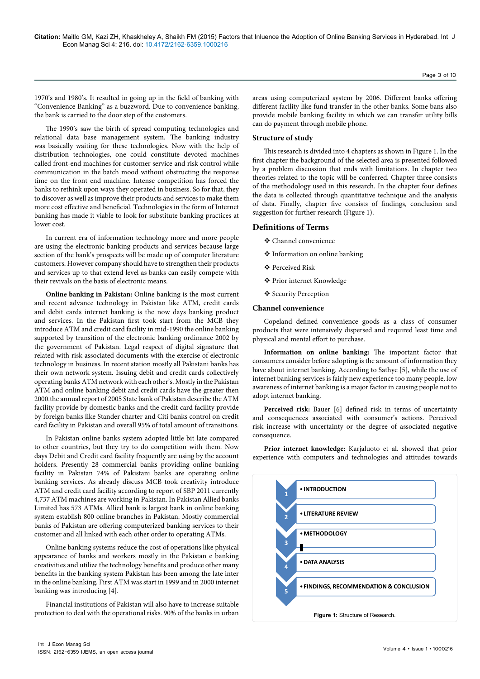1970's and 1980's. It resulted in going up in the field of banking with "Convenience Banking" as a buzzword. Due to convenience banking, the bank is carried to the door step of the customers.

The 1990's saw the birth of spread computing technologies and relational data base management system. The banking industry was basically waiting for these technologies. Now with the help of distribution technologies, one could constitute devoted machines called front-end machines for customer service and risk control while communication in the batch mood without obstructing the response time on the front end machine. Intense competition has forced the banks to rethink upon ways they operated in business. So for that, they to discover as well as improve their products and services to make them more cost effective and beneficial. Technologies in the form of Internet banking has made it viable to look for substitute banking practices at lower cost.

In current era of information technology more and more people are using the electronic banking products and services because large section of the bank's prospects will be made up of computer literature customers. However company should have to strengthen their products and services up to that extend level as banks can easily compete with their revivals on the basis of electronic means.

**Online banking in Pakistan:** Online banking is the most current and recent advance technology in Pakistan like ATM, credit cards and debit cards internet banking is the now days banking product and services. In the Pakistan first took start from the MCB they introduce ATM and credit card facility in mid-1990 the online banking supported by transition of the electronic banking ordinance 2002 by the government of Pakistan. Legal respect of digital signature that related with risk associated documents with the exercise of electronic technology in business. In recent station mostly all Pakistani banks has their own network system. Issuing debit and credit cards collectively operating banks ATM network with each other's. Mostly in the Pakistan ATM and online banking debit and credit cards have the greater then 2000.the annual report of 2005 State bank of Pakistan describe the ATM facility provide by domestic banks and the credit card facility provide by foreign banks like Stander charter and Citi banks control on credit card facility in Pakistan and overall 95% of total amount of transitions.

In Pakistan online banks system adopted little bit late compared to other countries, but they try to do competition with them. Now days Debit and Credit card facility frequently are using by the account holders. Presently 28 commercial banks providing online banking facility in Pakistan 74% of Pakistani banks are operating online banking services. As already discuss MCB took creativity introduce ATM and credit card facility according to report of SBP 2011 currently 4,737 ATM machines are working in Pakistan. In Pakistan Allied banks Limited has 573 ATMs. Allied bank is largest bank in online banking system establish 800 online branches in Pakistan. Mostly commercial banks of Pakistan are offering computerized banking services to their customer and all linked with each other order to operating ATMs.

Online banking systems reduce the cost of operations like physical appearance of banks and workers mostly in the Pakistan e banking creativities and utilize the technology benefits and produce other many benefits in the banking system Pakistan has been among the late inter in the online banking. First ATM was start in 1999 and in 2000 internet banking was introducing [4].

Financial institutions of Pakistan will also have to increase suitable protection to deal with the operational risks. 90% of the banks in urban

areas using computerized system by 2006. Different banks offering different facility like fund transfer in the other banks. Some bans also provide mobile banking facility in which we can transfer utility bills can do payment through mobile phone.

## **Structure of study**

This research is divided into 4 chapters as shown in Figure 1. In the first chapter the background of the selected area is presented followed by a problem discussion that ends with limitations. In chapter two theories related to the topic will be conferred. Chapter three consists of the methodology used in this research. In the chapter four defines the data is collected through quantitative technique and the analysis of data. Finally, chapter five consists of findings, conclusion and suggestion for further research (Figure 1).

# **Definitions of Terms**

- Channel convenience
- Information on online banking
- Perceived Risk
- Prior internet Knowledge
- ❖ Security Perception

# **Channel convenience**

Copeland defined convenience goods as a class of consumer products that were intensively dispersed and required least time and physical and mental effort to purchase.

**Information on online banking:** The important factor that consumers consider before adopting is the amount of information they have about internet banking. According to Sathye [5], while the use of internet banking services is fairly new experience too many people, low awareness of internet banking is a major factor in causing people not to adopt internet banking.

Perceived risk: Bauer [6] defined risk in terms of uncertainty and consequences associated with consumer's actions. Perceived risk increase with uncertainty or the degree of associated negative consequence.

**Prior internet knowledge:** Karjaluoto et al. showed that prior experience with computers and technologies and attitudes towards

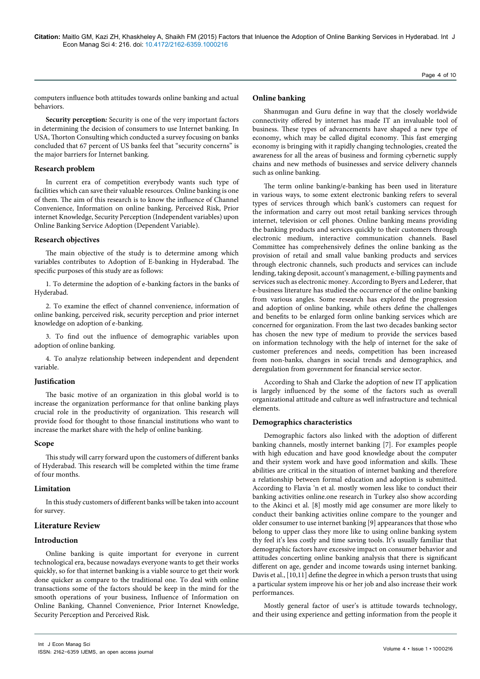Page 4 of 10

computers influence both attitudes towards online banking and actual behaviors.

**Security perception***:* Security is one of the very important factors in determining the decision of consumers to use Internet banking. In USA, Thorton Consulting which conducted a survey focusing on banks concluded that 67 percent of US banks feel that "security concerns" is the major barriers for Internet banking.

## **Research problem**

In current era of competition everybody wants such type of facilities which can save their valuable resources. Online banking is one of them. The aim of this research is to know the influence of Channel Convenience, Information on online banking, Perceived Risk, Prior internet Knowledge, Security Perception (Independent variables) upon Online Banking Service Adoption (Dependent Variable).

# **Research objectives**

The main objective of the study is to determine among which variables contributes to Adoption of E-banking in Hyderabad. The specific purposes of this study are as follows:

1. To determine the adoption of e-banking factors in the banks of Hyderabad.

2. To examine the effect of channel convenience, information of online banking, perceived risk, security perception and prior internet knowledge on adoption of e-banking.

3. To find out the influence of demographic variables upon adoption of online banking.

4. To analyze relationship between independent and dependent variable.

## **Justification**

The basic motive of an organization in this global world is to increase the organization performance for that online banking plays crucial role in the productivity of organization. This research will provide food for thought to those financial institutions who want to increase the market share with the help of online banking.

## **Scope**

This study will carry forward upon the customers of different banks of Hyderabad. This research will be completed within the time frame of four months.

## **Limitation**

In this study customers of different banks will be taken into account for survey.

# **Literature Review**

# **Introduction**

Online banking is quite important for everyone in current technological era, because nowadays everyone wants to get their works quickly, so for that internet banking is a viable source to get their work done quicker as compare to the traditional one. To deal with online transactions some of the factors should be keep in the mind for the smooth operations of your business, Influence of Information on Online Banking, Channel Convenience, Prior Internet Knowledge, Security Perception and Perceived Risk.

## **Online banking**

Shanmugan and Guru define in way that the closely worldwide connectivity offered by internet has made IT an invaluable tool of business. These types of advancements have shaped a new type of economy, which may be called digital economy. This fast emerging economy is bringing with it rapidly changing technologies, created the awareness for all the areas of business and forming cybernetic supply chains and new methods of businesses and service delivery channels such as online banking.

The term online banking/e-banking has been used in literature in various ways, to some extent electronic banking refers to several types of services through which bank's customers can request for the information and carry out most retail banking services through internet, television or cell phones. Online banking means providing the banking products and services quickly to their customers through electronic medium, interactive communication channels. Basel Committee has comprehensively defines the online banking as the provision of retail and small value banking products and services through electronic channels, such products and services can include lending, taking deposit, account's management, e-billing payments and services such as electronic money. According to Byers and Lederer, that e-business literature has studied the occurrence of the online banking from various angles. Some research has explored the progression and adoption of online banking, while others define the challenges and benefits to be enlarged form online banking services which are concerned for organization. From the last two decades banking sector has chosen the new type of medium to provide the services based on information technology with the help of internet for the sake of customer preferences and needs, competition has been increased from non-banks, changes in social trends and demographics, and deregulation from government for financial service sector.

According to Shah and Clarke the adoption of new IT application is largely influenced by the some of the factors such as overall organizational attitude and culture as well infrastructure and technical elements.

# **Demographics characteristics**

Demographic factors also linked with the adoption of different banking channels, mostly internet banking [7]. For examples people with high education and have good knowledge about the computer and their system work and have good information and skills. These abilities are critical in the situation of internet banking and therefore a relationship between formal education and adoption is submitted. According to Flavia 'n et al. mostly women less like to conduct their banking activities online.one research in Turkey also show according to the Akinci et al. [8] mostly mid age consumer are more likely to conduct their banking activities online compare to the younger and older consumer to use internet banking [9] appearances that those who belong to upper class they more like to using online banking system thy feel it's less costly and time saving tools. It's usually familiar that demographic factors have excessive impact on consumer behavior and attitudes concerting online banking analysis that there is significant different on age, gender and income towards using internet banking. Davis et al., [10,11] define the degree in which a person trusts that using a particular system improve his or her job and also increase their work performances.

Mostly general factor of user's is attitude towards technology, and their using experience and getting information from the people it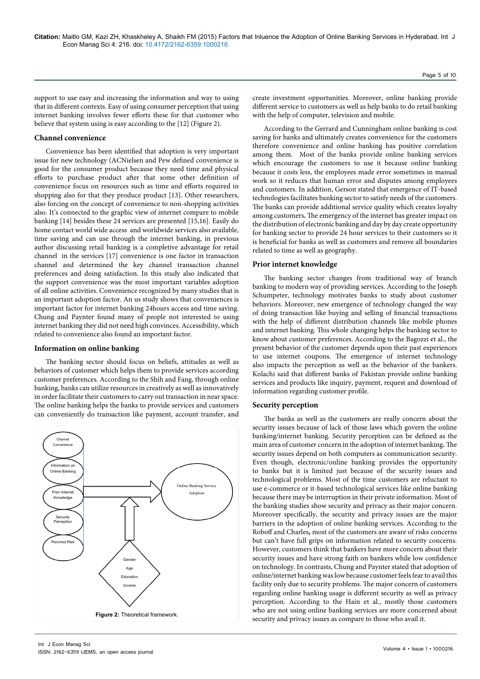support to use easy and increasing the information and way to using that in different contexts. Easy of using consumer perception that using internet banking involves fewer efforts these for that customer who believe that system using is easy according to the [12] (Figure 2).

## **Channel convenience**

Convenience has been identified that adoption is very important issue for new technology (ACNielsen and Pew defined convenience is good for the consumer product because they need time and physical efforts to purchase product after that some other definition of convenience focus on resources such as time and efforts required in shopping also for that they produce product [13]. Other researchers, also forcing on the concept of convenience to non-shopping activities also. It's connected to the graphic view of internet compare to mobile banking [14] besides these 24 services are presented [15,16]. Easily do home contact world wide access and worldwide services also available, time saving and can use through the internet banking, in previous author discussing retail banking is a completive advantage for retail channel in the services [17] convenience is one factor in transaction channel and determined the key channel transaction channel preferences and doing satisfaction. In this study also indicated that the support convenience was the most important variables adoption of all online activities. Convenience recognized by many studies that is an important adoption factor. An us study shows that conveniences is important factor for internet banking 24hours access and time saving. Chung and Paynter found many of people not interested to using internet banking they did not need high convinces. Accessibility, which related to convenience also found an important factor.

## **Information on online banking**

The banking sector should focus on beliefs, attitudes as well as behaviors of customer which helps them to provide services according customer preferences. According to the Shih and Fang, through online banking, banks can utilize resources in creatively as well as innovatively in order facilitate their customers to carry out transaction in near space. The online banking helps the banks to provide services and customers can conveniently do transaction like payment, account transfer, and



create investment opportunities. Moreover, online banking provide different service to customers as well as help banks to do retail banking with the help of computer, television and mobile.

According to the Gerrard and Cunningham online banking is cost saving for banks and ultimately creates convenience for the customers therefore convenience and online banking has positive correlation among them. Most of the banks provide online banking services which encourage the customers to use it because online banking because it costs less, the employees made error sometimes in manual work so it reduces that human error and disputes among employees and customers. In addition, Gerson stated that emergence of IT-based technologies facilitates banking sector to satisfy needs of the customers. The banks can provide additional service quality which creates loyalty among customers**.** The emergency of the internet has greater impact on the distribution of electronic banking and day by day create opportunity for banking sector to provide 24 hour services to their customers so it is beneficial for banks as well as customers and remove all boundaries related to time as well as geography.

# **Prior internet knowledge**

The banking sector changes from traditional way of branch banking to modern way of providing services. According to the Joseph Schumpeter, technology motivates banks to study about customer behaviors. Moreover, new emergence of technology changed the way of doing transaction like buying and selling of financial transactions with the help of different distribution channels like mobile phones and internet banking. This whole changing helps the banking sector to know about customer preferences. According to the Bagozzi et al., the present behavior of the customer depends upon their past experiences to use internet coupons. The emergence of internet technology also impacts the perception as well as the behavior of the bankers. Kolachi said that different banks of Pakistan provide online banking services and products like inquiry, payment, request and download of information regarding customer profile.

## **Security perception**

The banks as well as the customers are really concern about the security issues because of lack of those laws which govern the online banking/internet banking. Security perception can be defined as the main area of customer concern in the adoption of internet banking**.** The security issues depend on both computers as communication security. Even though, electronic/online banking provides the opportunity to banks but it is limited just because of the security issues and technological problems. Most of the time customers are reluctant to use e-commerce or it-based technological services like online banking because there may be interruption in their private information. Most of the banking studies show security and privacy as their major concern. Moreover specifically, the security and privacy issues are the major barriers in the adoption of online banking services. According to the Roboff and Charles**,** most of the customers are aware of risks concerns but can't have full grips on information related to security concerns. However, customers think that bankers have more concern about their security issues and have strong faith on bankers while low confidence on technology. In contrasts, Chung and Paynter stated that adoption of online/internet banking was low because customer feels fear to avail this facility only due to security problems. The major concern of customers regarding online banking usage is different security as well as privacy perception. According to the Hain et al., mostly those customers who are not using online banking services are more concerned about security and privacy issues as compare to those who avail it.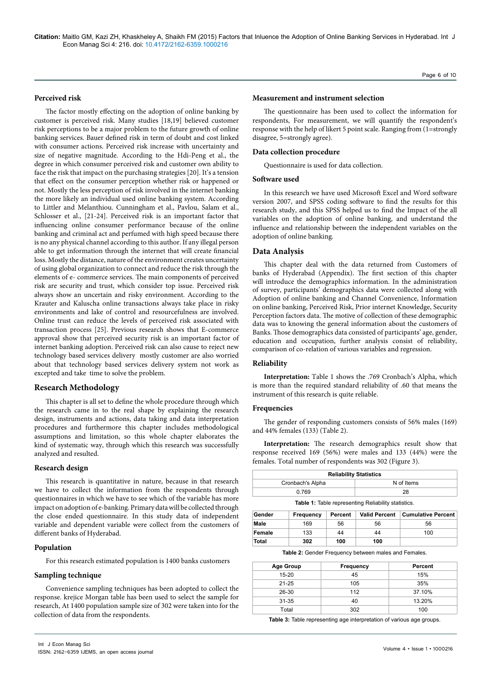**Citation:** Maitlo GM, Kazi ZH, Khaskheley A, Shaikh FM (2015) Factors that Inluence the Adoption of Online Banking Services in Hyderabad. Int J Econ Manag Sci 4: 216. doi: 10.4172/2162-6359.1000216

# **Perceived risk**

The factor mostly effecting on the adoption of online banking by customer is perceived risk. Many studies [18,19] believed customer risk perceptions to be a major problem to the future growth of online banking services. Bauer defined risk in term of doubt and cost linked with consumer actions. Perceived risk increase with uncertainty and size of negative magnitude. According to the Hdi-Peng et al., the degree in which consumer perceived risk and customer own ability to face the risk that impact on the purchasing strategies [20]. It's a tension that effect on the consumer perception whether risk or happened or not. Mostly the less perception of risk involved in the internet banking the more likely an individual used online banking system. According to Littler and Melanthiou. Cunningham et al., Pavlou, Salam et al., Schlosser et al., [21-24]. Perceived risk is an important factor that influencing online consumer performance because of the online banking and criminal act and perfumed with high speed because there is no any physical channel according to this author. If any illegal person able to get information through the internet that will create financial loss. Mostly the distance, nature of the environment creates uncertainty of using global organization to connect and reduce the risk through the elements of e- commerce services. The main components of perceived risk are security and trust, which consider top issue. Perceived risk always show an uncertain and risky environment. According to the Krauter and Kaluscha online transactions always take place in risky environments and lake of control and resourcefulness are involved. Online trust can reduce the levels of perceived risk associated with transaction process [25]. Previous research shows that E-commerce approval show that perceived security risk is an important factor of internet banking adoption. Perceived risk can also cause to reject new technology based services delivery mostly customer are also worried about that technology based services delivery system not work as excepted and take time to solve the problem.

# **Research Methodology**

This chapter is all set to define the whole procedure through which the research came in to the real shape by explaining the research design, instruments and actions, data taking and data interpretation procedures and furthermore this chapter includes methodological assumptions and limitation, so this whole chapter elaborates the kind of systematic way, through which this research was successfully analyzed and resulted.

## **Research design**

This research is quantitative in nature, because in that research we have to collect the information from the respondents through questionnaires in which we have to see which of the variable has more impact on adoption of e-banking. Primary data will be collected through the close ended questionnaire. In this study data of independent variable and dependent variable were collect from the customers of different banks of Hyderabad.

#### **Population**

For this research estimated population is 1400 banks customers

#### **Sampling technique**

Convenience sampling techniques has been adopted to collect the response. krejice Morgan table has been used to select the sample for research, At 1400 population sample size of 302 were taken into for the collection of data from the respondents.

## **Measurement and instrument selection**

The questionnaire has been used to collect the information for respondents, For measurement, we will quantify the respondent's response with the help of likert 5 point scale. Ranging from (1=strongly disagree, 5=strongly agree).

## **Data collection procedure**

Questionnaire is used for data collection.

## **Software used**

In this research we have used Microsoft Excel and Word software version 2007, and SPSS coding software to find the results for this research study, and this SPSS helped us to find the Impact of the all variables on the adoption of online banking, and understand the influence and relationship between the independent variables on the adoption of online banking.

## **Data Analysis**

This chapter deal with the data returned from Customers of banks of Hyderabad (Appendix). The first section of this chapter will introduce the demographics information. In the administration of survey, participants' demographics data were collected along with Adoption of online banking and Channel Convenience, Information on online banking, Perceived Risk, Prior internet Knowledge, Security Perception factors data. The motive of collection of these demographic data was to knowing the general information about the customers of Banks. Those demographics data consisted of participants' age, gender, education and occupation, further analysis consist of reliability, comparison of co-relation of various variables and regression.

## **Reliability**

**Interpretation:** Table 1 shows the .769 Cronbach's Alpha, which is more than the required standard reliability of .60 that means the instrument of this research is quite reliable.

## **Frequencies**

The gender of responding customers consists of 56% males (169) and 44% females (133) (Table 2).

**Interpretation:** The research demographics result show that response received 169 (56%) were males and 133 (44%) were the females. Total number of respondents was 302 (Figure 3).

| <b>Reliability Statistics</b>                       |            |  |  |  |  |  |
|-----------------------------------------------------|------------|--|--|--|--|--|
| Cronbach's Alpha                                    | N of Items |  |  |  |  |  |
| 28<br>0.769                                         |            |  |  |  |  |  |
| Table 1: Table representing Reliability statistics. |            |  |  |  |  |  |

| Gender       | Frequency | Percent | <b>Valid Percent</b> | <b>Cumulative Percent</b> |
|--------------|-----------|---------|----------------------|---------------------------|
| Male         | 169       | 56      | 56                   | 56                        |
| Female       | 133       | 44      | 44                   | 100                       |
| <b>Total</b> | 302       | 100     | 100                  |                           |

**Table 2:** Gender Frequency between males and Females.

| Age Group | Frequency | Percent |
|-----------|-----------|---------|
| $15 - 20$ | 45        | 15%     |
| $21 - 25$ | 105       | 35%     |
| 26-30     | 112       | 37.10%  |
| $31 - 35$ | 40        | 13.20%  |
| Total     | 302       | 100     |

**Table 3:** Table representing age interpretation of various age groups.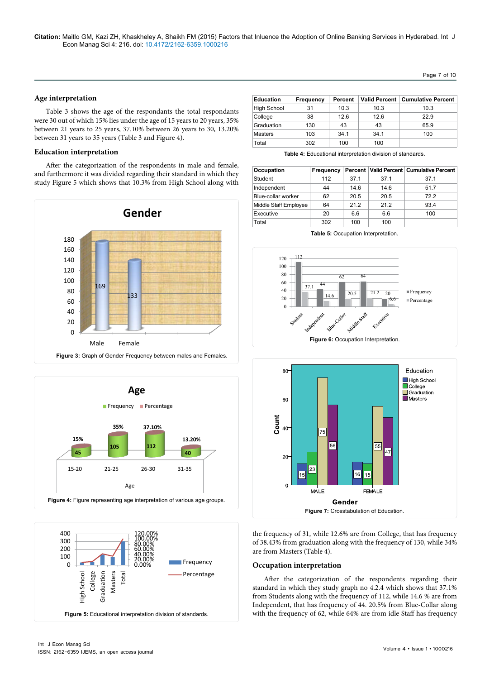# **Age interpretation**

Table 3 shows the age of the respondants the total respondants were 30 out of which 15% lies under the age of 15 years to 20 years, 35% between 21 years to 25 years, 37.10% between 26 years to 30, 13.20% between 31 years to 35 years (Table 3 and Figure 4).

## **Education interpretation**

After the categorization of the respondents in male and female, and furthermore it was divided regarding their standard in which they study Figure 5 which shows that 10.3% from High School along with







| <b>Education</b> | Frequency | Percent |      | Valid Percent   Cumulative Percent |
|------------------|-----------|---------|------|------------------------------------|
| High School      | 31        | 10.3    | 10.3 | 10.3                               |
| College          | 38        | 12.6    | 12.6 | 22.9                               |
| Graduation       | 130       | 43      | 43   | 65.9                               |
| <b>Masters</b>   | 103       | 34.1    | 34.1 | 100                                |
| Total            | 302       | 100     | 100  |                                    |

**Table 4:** Educational interpretation division of standards.

| Occupation            | Frequency |      |      | Percent   Valid Percent   Cumulative Percent |
|-----------------------|-----------|------|------|----------------------------------------------|
| Student               | 112       | 37.1 | 37.1 | 37.1                                         |
| Independent           | 44        | 14.6 | 14.6 | 51.7                                         |
| Blue-collar worker    | 62        | 20.5 | 20.5 | 72.2                                         |
| Middle Staff Employee | 64        | 212  | 212  | 93.4                                         |
| Executive             | 20        | 6.6  | 6.6  | 100                                          |
| Total                 | 302       | 100  | 100  |                                              |

**Table 5:** Occupation Interpretation.





the frequency of 31, while 12.6% are from College, that has frequency of 38.43% from graduation along with the frequency of 130, while 34% are from Masters (Table 4).

## **Occupation interpretation**

After the categorization of the respondents regarding their standard in which they study graph no 4.2.4 which shows that 37.1% from Students along with the frequency of 112, while 14.6 % are from Independent, that has frequency of 44. 20.5% from Blue-Collar along with the frequency of 62, while 64% are from idle Staff has frequency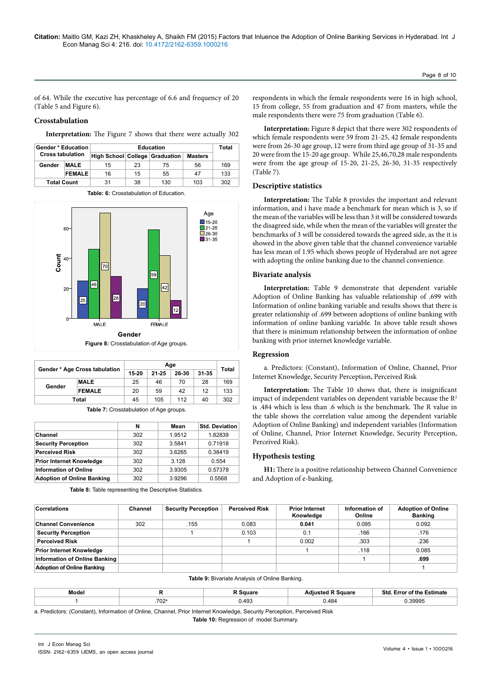of 64. While the executive has percentage of 6.6 and frequency of 20 (Table 5 and Figure 6).

# **Crosstabulation**

**Interpretation:** The Figure 7 shows that there were actually 302

| Gender * Education      |               | <b>Education</b>               |    |     |                | Total |
|-------------------------|---------------|--------------------------------|----|-----|----------------|-------|
| <b>Cross tabulation</b> |               | High School College Graduation |    |     | <b>Masters</b> |       |
| Gender                  | <b>MALE</b>   | 15                             | 23 | 75  | 56             | 169   |
|                         | <b>FEMALE</b> | 16                             | 15 | 55  | 47             | 133   |
| <b>Total Count</b>      |               | 31                             | 38 | 130 | 103            | 302   |



| Gender * Age Cross tabulation |               | Age   |           |       |       | Total |
|-------------------------------|---------------|-------|-----------|-------|-------|-------|
|                               |               | 15-20 | $21 - 25$ | 26-30 | 31-35 |       |
| Gender                        | <b>MALE</b>   | 25    | 46        | 70    | 28    | 169   |
|                               | <b>FEMALE</b> | 20    | 59        | 42    | 12    | 133   |
|                               | Total         | 45    | 105       | 112   | 40    | 302   |
|                               |               |       |           |       |       |       |

**Table 7:** Crosstabulation of Age groups.

|                                   | N   | Mean   | <b>Std. Deviation</b> |
|-----------------------------------|-----|--------|-----------------------|
| Channel                           | 302 | 1.9512 | 1.82839               |
| <b>Security Perception</b>        | 302 | 3.5841 | 0.71918               |
| <b>Perceived Risk</b>             | 302 | 3.6265 | 0.38419               |
| <b>Prior Internet Knowledge</b>   | 302 | 3.128  | 0.554                 |
| <b>Information of Online</b>      | 302 | 3.9305 | 0.57378               |
| <b>Adoption of Online Banking</b> | 302 | 3.9296 | 0.5568                |

**Table 8:** Table representing the Descriptive Statistics.

respondents in which the female respondents were 16 in high school, 15 from college, 55 from graduation and 47 from masters, while the male respondents there were 75 from graduation (Table 6).

**Interpretation:** Figure 8 depict that there were 302 respondents of which female respondents were 59 from 21-25, 42 female respondents were from 26-30 age group, 12 were from third age group of 31-35 and 20 were from the 15-20 age group. While 25,46,70,28 male respondents were from the age group of 15-20, 21-25, 26-30, 31-35 respectively (Table 7).

## **Descriptive statistics**

**Interpretation:** The Table 8 provides the important and relevant information, and i have made a benchmark for mean which is 3, so if the mean of the variables will be less than 3 it will be considered towards the disagreed side, while when the mean of the variables will greater the benchmarks of 3 will be considered towards the agreed side, as the it is showed in the above given table that the channel convenience variable has less mean of 1.95 which shows people of Hyderabad are not agree with adopting the online banking due to the channel convenience.

## **Bivariate analysis**

**Interpretation:** Table 9 demonstrate that dependent variable Adoption of Online Banking has valuable relationship of .699 with Information of online banking variable and results shows that there is greater relationship of .699 between adoptions of online banking with information of online banking variable. In above table result shows that there is minimum relationship between the information of online banking with prior internet knowledge variable.

## **Regression**

a. Predictors: (Constant), Information of Online, Channel, Prior Internet Knowledge, Security Perception, Perceived Risk

**Interpretation:** The Table 10 shows that, there is insignificant impact of independent variables on dependent variable because the  $R^2$ is .484 which is less than .6 which is the benchmark. The R value in the table shows the correlation value among the dependent variable Adoption of Online Banking) and independent variables (Information of Online, Channel, Prior Internet Knowledge, Security Perception, Perceived Risk).

## **Hypothesis testing**

**H1:** There is a positive relationship between Channel Convenience and Adoption of e-banking.

| <b>Correlations</b>               | Channel | <b>Security Perception</b> | <b>Perceived Risk</b> | <b>Prior Internet</b><br>Knowledge | Information of<br>Online | <b>Adoption of Online</b><br><b>Banking</b> |
|-----------------------------------|---------|----------------------------|-----------------------|------------------------------------|--------------------------|---------------------------------------------|
| <b>Channel Convenience</b>        | 302     | .155                       | 0.083                 | 0.041                              | 0.095                    | 0.092                                       |
| <b>Security Perception</b>        |         |                            | 0.103                 | 0.1                                | .166                     | .176                                        |
| <b>Perceived Risk</b>             |         |                            |                       | 0.002                              | .303                     | .236                                        |
| <b>Prior Internet Knowledge</b>   |         |                            |                       |                                    | .118                     | 0.085                                       |
| Information of Online Banking     |         |                            |                       |                                    |                          | .699                                        |
| <b>Adoption of Online Banking</b> |         |                            |                       |                                    |                          |                                             |

#### **Table 9:** Bivariate Analysis of Online Banking.

| Model<br>. |                         | ------           | <br>шан | Str<br>:stimate |
|------------|-------------------------|------------------|---------|-----------------|
|            | 700<br>$\cdot$<br>1 U Z | .10 <sup>o</sup> | 484     |                 |

a. Predictors: (Constant), Information of Online, Channel, Prior Internet Knowledge, Security Perception, Perceived Risk

**Table 10:** Regression of model Summary.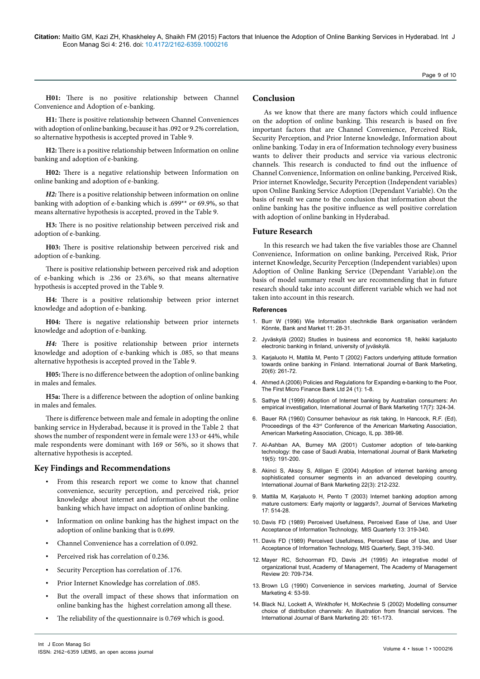Page 9 of 10

**H01:** There is no positive relationship between Channel Convenience and Adoption of e-banking.

**H1:** There is positive relationship between Channel Conveniences with adoption of online banking, because it has .092 or 9.2% correlation, so alternative hypothesis is accepted proved in Table 9.

**H2:** There is a positive relationship between Information on online banking and adoption of e-banking.

**H02:** There is a negative relationship between Information on online banking and adoption of e-banking.

*H2*: There is a positive relationship between information on online banking with adoption of e-banking which is .699\*\* or 69.9%, so that means alternative hypothesis is accepted, proved in the Table 9.

**H3:** There is no positive relationship between perceived risk and adoption of e-banking.

**H03:** There is positive relationship between perceived risk and adoption of e-banking.

There is positive relationship between perceived risk and adoption of e-banking which is .236 or 23.6%, so that means alternative hypothesis is accepted proved in the Table 9.

**H4:** There is a positive relationship between prior internet knowledge and adoption of e-banking.

**H04:** There is negative relationship between prior internets knowledge and adoption of e-banking.

*H4:* There is positive relationship between prior internets knowledge and adoption of e-banking which is .085, so that means alternative hypothesis is accepted proved in the Table 9.

**H05:** There is no difference between the adoption of online banking in males and females.

**H5a:** There is a difference between the adoption of online banking in males and females.

There is difference between male and female in adopting the online banking service in Hyderabad, because it is proved in the Table 2 that shows the number of respondent were in female were 133 or 44%, while male respondents were dominant with 169 or 56%, so it shows that alternative hypothesis is accepted.

# **Key Findings and Recommendations**

- From this research report we come to know that channel convenience, security perception, and perceived risk, prior knowledge about internet and information about the online banking which have impact on adoption of online banking.
- Information on online banking has the highest impact on the adoption of online banking that is 0.699.
- Channel Convenience has a correlation of 0.092.
- Perceived risk has correlation of 0.236.
- Security Perception has correlation of .176.
- Prior Internet Knowledge has correlation of .085.
- But the overall impact of these shows that information on online banking has the highest correlation among all these.
- The reliability of the questionnaire is 0.769 which is good.

# **Conclusion**

As we know that there are many factors which could influence on the adoption of online banking. This research is based on five important factors that are Channel Convenience, Perceived Risk, Security Perception, and Prior Interne knowledge, Information about online banking. Today in era of Information technology every business wants to deliver their products and service via various electronic channels. This research is conducted to find out the influence of Channel Convenience, Information on online banking, Perceived Risk, Prior internet Knowledge, Security Perception (Independent variables) upon Online Banking Service Adoption (Dependant Variable). On the basis of result we came to the conclusion that information about the online banking has the positive influence as well positive correlation with adoption of online banking in Hyderabad.

# **Future Research**

In this research we had taken the five variables those are Channel Convenience, Information on online banking, Perceived Risk, Prior internet Knowledge, Security Perception (Independent variables) upon Adoption of Online Banking Service (Dependant Variable).on the basis of model summary result we are recommending that in future research should take into account different variable which we had not taken into account in this research.

## **References**

- 1. [Burr W \(1996\) Wie Information stechnkdie Bank organisation verändern](http://www.ijmit.com/ojs/index.php/ijmit/article/view/710)  [Könnte, Bank and Market 11: 28-31.](http://www.ijmit.com/ojs/index.php/ijmit/article/view/710)
- 2. [Jyväskylä \(2002\) Studies in business and economics 18, heikki karjaluoto](http://users.jyu.fi/~hekarjal/publications.pdf)  [electronic banking in finland, university of jyväskylä.](http://users.jyu.fi/~hekarjal/publications.pdf)
- Karjaluoto H, Mattila M, Pento T (2002) Factors underlying attitude formation [towards online banking in Finland. International Journal of Bank Marketing,](http://www.emeraldinsight.com/doi/abs/10.1108/02652320210446724)  [20\(6\): 261-72.](http://www.emeraldinsight.com/doi/abs/10.1108/02652320210446724)
- 4. [Ahmed A \(2006\) Policies and Regulations for Expanding e-banking to the Poor,](http://www.bwtp.org/pdfs/arcm/Policies  Regulation for e-Bank.pdf)  [The First Micro Finance Bank Ltd 24 \(1\): 1-8.](http://www.bwtp.org/pdfs/arcm/Policies  Regulation for e-Bank.pdf)
- 5. [Sathye M \(1999\) Adoption of Internet banking by Australian consumers: An](http://www.emeraldinsight.com/doi/abs/10.1108/02652329910305689)  [empirical investigation, International Journal of Bank Marketing 17\(7\): 324-34.](http://www.emeraldinsight.com/doi/abs/10.1108/02652329910305689)
- 6. Bauer RA (1960) Consumer behaviour as risk taking, In Hancock, R.F. (Ed), Proceedings of the 43<sup>rd</sup> Conference of the American Marketing Association, American Marketing Association, Chicago, IL pp. 389-98.
- 7. [Al-Ashban AA, Burney MA \(2001\) Customer adoption of tele-banking](http://www.emeraldinsight.com/doi/abs/10.1108/02652320110399683)  [technology: the case of Saudi Arabia, International Journal of Bank Marketing](http://www.emeraldinsight.com/doi/abs/10.1108/02652320110399683)  [19\(5\): 191-200.](http://www.emeraldinsight.com/doi/abs/10.1108/02652320110399683)
- 8. [Akinci S, Aksoy S, Atilgan E \(2004\) Adoption of internet banking among](http://www.emeraldinsight.com/doi/abs/10.1108/02652320410530322)  [sophisticated consumer segments in an advanced developing country,](http://www.emeraldinsight.com/doi/abs/10.1108/02652320410530322)  [International Journal of Bank Marketing 22\(3\): 212-232.](http://www.emeraldinsight.com/doi/abs/10.1108/02652320410530322)
- 9. [Mattila M, Karjaluoto H, Pento T \(2003\) Internet banking adoption among](http://www.emeraldinsight.com/doi/abs/10.1108/08876040310486294)  [mature customers: Early majority or laggards?, Journal of Services Marketing](http://www.emeraldinsight.com/doi/abs/10.1108/08876040310486294)  [17: 514-28.](http://www.emeraldinsight.com/doi/abs/10.1108/08876040310486294)
- 10. [Davis FD \(1989\) Perceived Usefulness, Perceived Ease of Use, and User](http://dl.acm.org/citation.cfm?id=2017067)  [Acceptance of Information Technology, MIS Quarterly 13: 319-340.](http://dl.acm.org/citation.cfm?id=2017067)
- 11. [Davis FD \(1989\) Perceived Usefulness, Perceived Ease of Use, and User](http://dl.acm.org/citation.cfm?id=2017067)  [Acceptance of Information Technology, MIS Quarterly, Sept, 319-340.](http://dl.acm.org/citation.cfm?id=2017067)
- 12. [Mayer RC, Schoorman FD, Davis JH \(1995\) An integrative model of](http://www.jstor.org/stable/258792?seq=1#page_scan_tab_contents)  [organizational trust, Academy of Management, The Academy of Management](http://www.jstor.org/stable/258792?seq=1#page_scan_tab_contents)  [Review 20: 709-734.](http://www.jstor.org/stable/258792?seq=1#page_scan_tab_contents)
- 13. [Brown LG \(1990\) Convenience in services marketing, Journal of Service](http://www.emeraldinsight.com/doi/abs/10.1108/EUM0000000002505)  [Marketing 4: 53-59.](http://www.emeraldinsight.com/doi/abs/10.1108/EUM0000000002505)
- 14. Black NJ, Lockett A, Winklhofer H, [McKechnie S \(2002\) Modelling consumer](http://www.emeraldinsight.com/doi/abs/10.1108/02652320210432945)  [choice of distribution channels: An illustration from financial services. The](http://www.emeraldinsight.com/doi/abs/10.1108/02652320210432945)  [International Journal of Bank Marketing 20: 161-173.](http://www.emeraldinsight.com/doi/abs/10.1108/02652320210432945)